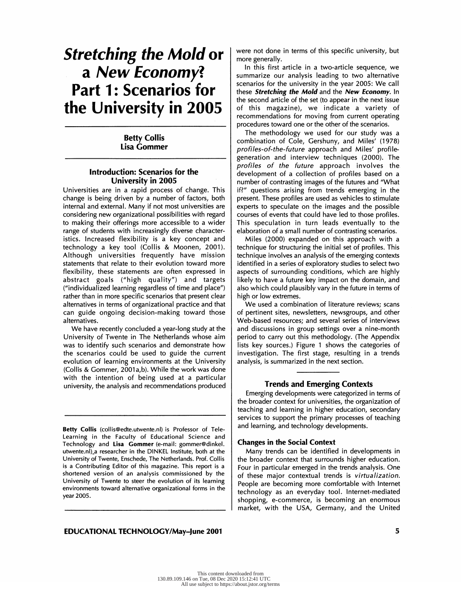# Stretching the Mold or a New Economy? Part 1: Scenarios for the University in 2005

# Betty Collis Lisa Gommer

## Introduction: Scenarios for the University in 2005

 Universities are in a rapid process of change. This change is being driven by a number of factors, both internal and external. Many if not most universities are considering new organizational possibilities with regard to making their offerings more accessible to a wider range of students with increasingly diverse character istics. Increased flexibility is a key concept and technology a key tool (Collis & Moonen, 2001). Although universities frequently have mission statements that relate to their evolution toward more flexibility, these statements are often expressed in abstract goals ("high quality") and targets ("individualized learning regardless of time and place") rather than in more specific scenarios that present clear alternatives in terms of organizational practice and that can guide ongoing decision-making toward those alternatives.

 We have recently concluded a year-long study at the University of Twente in The Netherlands whose aim was to identify such scenarios and demonstrate how the scenarios could be used to guide the current evolution of learning environments at the University (Collis & Gommer, 2001a,b). While the work was done with the intention of being used at a particular university, the analysis and recommendations produced

 Betty Collis (collis@edte.utwente.nl) is Professor of Tele- Learning in the Faculty of Educational Science and Technology and Lisa Gommer (e-mail: gommer@dinkel. utwente.nl)\_a researcher in the DINKEL Institute, both at the University of Twente, Enschede, The Netherlands. Prof. Collis is a Contributing Editor of this magazine. This report is a shortened version of an analysis commissioned by the University of Twente to steer the evolution of its learning environments toward alternative organizational forms in the year 2005.

 were not done in terms of this specific university, but more generally.

 In this first article in a two-article sequence, we summarize our analysis leading to two alternative scenarios for the university in the year 2005: We call these **Stretching the Mold** and the New Economy. In the second article of the set (to appear in the next issue of this magazine), we indicate a variety of recommendations for moving from current operating procedures toward one or the other of the scenarios.

 The methodology we used for our study was a combination of Cole, Gershuny, and Miles' (1978) profiles-of-the-future approach and Miles' profile generation and interview techniques (2000). The profiles of the future approach involves the development of a collection of profiles based on a number of contrasting images of the futures and "What if?" questions arising from trends emerging in the present. These profiles are used as vehicles to stimulate experts to speculate on the images and the possible courses of events that could have led to those profiles. This speculation in turn leads eventually to the elaboration of a small number of contrasting scenarios.

 Miles (2000) expanded on this approach with a technique for structuring the initial set of profiles. This technique involves an analysis of the emerging contexts identified in a series of exploratory studies to select two aspects of surrounding conditions, which are highly likely to have a future key impact on the domain, and also which could plausibly vary in the future in terms of high or low extremes.

 We used a combination of literature reviews; scans of pertinent sites, newsletters, newsgroups, and other Web-based resources; and several series of interviews and discussions in group settings over a nine-month period to carry out this methodology. (The Appendix lists key sources.) Figure 1 shows the categories of investigation. The first stage, resulting in a trends analysis, is summarized in the next section.

## Trends and Emerging Contexts

 Emerging developments were categorized in terms of the broader context for universities, the organization of teaching and learning in higher education, secondary services to support the primary processes of teaching and learning, and technology developments.

#### Changes in the Social Context

 Many trends can be identified in developments in the broader context that surrounds higher education. Four in particular emerged in the trends analysis. One of these major contextual trends is virtualization. People are becoming more comfortable with Internet technology as an everyday tool. Internet-mediated shopping, e-commerce, is becoming an enormous market, with the USA, Germany, and the United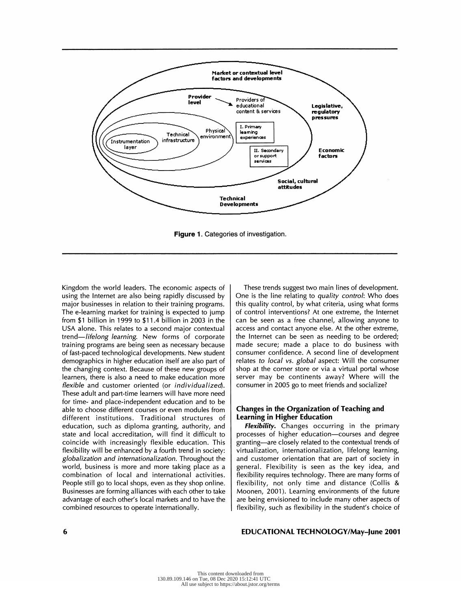

Figure 1. Categories of investigation.

 Kingdom the world leaders. The economic aspects of using the Internet are also being rapidly discussed by major businesses in relation to their training programs. The e-learning market for training is expected to jump from \$1 billion in 1999 to \$11.4 billion in 2003 in the USA alone. This relates to a second major contextual trend—lifelong learning. New forms of corporate training programs are being seen as necessary because of fast-paced technological developments. New student demographics in higher education itself are also part of the changing context. Because of these new groups of learners, there is also a need to make education more flexible and customer oriented (or individualized). These adult and part-time learners will have more need for time- and place-independent education and to be able to choose different courses or even modules from different institutions. Traditional structures of education, such as diploma granting, authority, and state and local accreditation, will find it difficult to coincide with increasingly flexible education. This flexibility will be enhanced by a fourth trend in society: globalization and internationalization. Throughout the world, business is more and more taking place as a combination of local and international activities. People still go to local shops, even as they shop online. Businesses are forming alliances with each other to take advantage of each other's local markets and to have the combined resources to operate internationally.

 These trends suggest two main lines of development. One is the line relating to quality control: Who does this quality control, by what criteria, using what forms of control interventions? At one extreme, the Internet can be seen as a free channel, allowing anyone to access and contact anyone else. At the other extreme, the Internet can be seen as needing to be ordered; made secure; made a place to do business with consumer confidence. A second line of development relates to local vs. global aspect: Will the consumer shop at the corner store or via a virtual portal whose server may be continents away? Where will the consumer in 2005 go to meet friends and socialize?

## Changes in the Organization of Teaching and Learning in Higher Education

Flexibility. Changes occurring in the primary processes of higher education-courses and degree granting—are closely related to the contextual trends of virtualization, internationalization, lifelong learning, and customer orientation that are part of society in general. Flexibility is seen as the key idea, and flexibility requires technology. There are many forms of flexibility, not only time and distance (Collis & Moonen, 2001). Learning environments of the future are being envisioned to include many other aspects of flexibility, such as flexibility in the student's choice of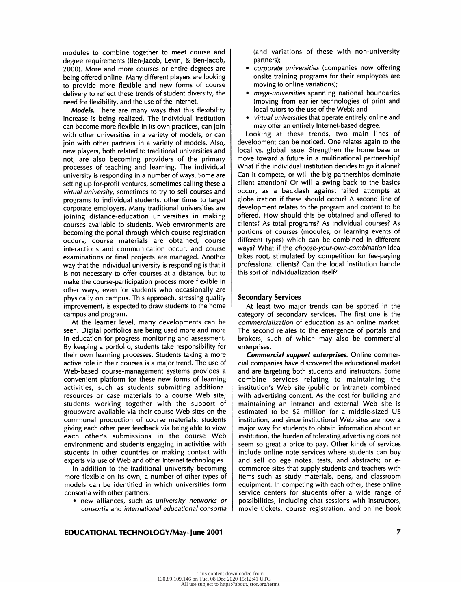modules to combine together to meet course and degree requirements (Ben-Jacob, Levin, & Ben-Jacob, 2000). More and more courses or entire degrees are being offered online. Many different players are looking to provide more flexible and new forms of course delivery to reflect these trends of student diversity, the need for flexibility, and the use of the Internet.

Models. There are many ways that this flexibility increase is being realized. The individual institution can become more flexible in its own practices, can join with other universities in a variety of models, or can join with other partners in a variety of models. Also, new players, both related to traditional universities and not, are also becoming providers of the primary processes of teaching and learning. The individual university is responding in a number of ways. Some are setting up for-profit ventures, sometimes calling these a virtual university, sometimes to try to sell courses and programs to individual students, other times to target corporate employers. Many traditional universities are joining distance-education universities in making courses available to students. Web environments are becoming the portal through which course registration occurs, course materials are obtained, course interactions and communication occur, and course examinations or final projects are managed. Another way that the individual university is responding is that it is not necessary to offer courses at a distance, but to make the course-participation process more flexible in other ways, even for students who occasionally are physically on campus. This approach, stressing quality improvement, is expected to draw students to the home campus and program.

 At the learner level, many developments can be seen. Digital portfolios are being used more and more in education for progress monitoring and assessment. By keeping a portfolio, students take responsibility for their own learning processes. Students taking a more active role in their courses is a major trend. The use of Web-based course-management systems provides a convenient platform for these new forms of learning activities, such as students submitting additional resources or case materials to a course Web site; students working together with the support of groupware available via their course Web sites on the communal production of course materials; students giving each other peer feedback via being able to view each other's submissions in the course Web environment; and students engaging in activities with students in other countries or making contact with experts via use of Web and other Internet technologies.

 In addition to the traditional university becoming more flexible on its own, a number of other types of models can be identified in which universities form consortia with other partners:

 • new alliances, such as university networks or consortia and international educational consortia  (and variations of these with non-university partners);

- corporate universities (companies now offering onsite training programs for their employees are moving to online variations);
- mega-universities spanning national boundaries (moving from earlier technologies of print and local tutors to the use of the Web); and
- virtual universities that operate entirely online and may offer an entirely Internet-based degree.

 Looking at these trends, two main lines of development can be noticed. One relates again to the local vs. global issue. Strengthen the home base or move toward a future in a multinational partnership? What if the individual institution decides to go it alone? Can it compete, or will the big partnerships dominate client attention? Or will a swing back to the basics occur, as a backlash against failed attempts at globalization if these should occur? A second line of development relates to the program and content to be offered. How should this be obtained and offered to clients? As total programs? As individual courses? As portions of courses (modules, or learning events of different types) which can be combined in different ways? What if the choose-your-own-combination idea takes root, stimulated by competition for fee-paying professional clients? Can the local institution handle this sort of individualization itself?

#### Secondary Services

 At least two major trends can be spotted in the category of secondary services. The first one is the commercialization of education as an online market. The second relates to the emergence of portals and brokers, such of which may also be commercial enterprises.

Commercial support enterprises. Online commer cial companies have discovered the educational market and are targeting both students and instructors. Some combine services relating to maintaining the institution's Web site (public or intranet) combined with advertising content. As the cost for building and maintaining an intranet and external Web site is estimated to be \$2 million for a middle-sized US institution, and since institutional Web sites are now a major way for students to obtain information about an institution, the burden of tolerating advertising does not seem so great a price to pay. Other kinds of services include online note services where students can buy and sell college notes, tests, and abstracts; or e commerce sites that supply students and teachers with items such as study materials, pens, and classroom equipment. In competing with each other, these online service centers for students offer a wide range of possibilities, including chat sessions with instructors, movie tickets, course registration, and online book

# EDUCATIONAL TECHNOLOGY/May-June 2001 7 7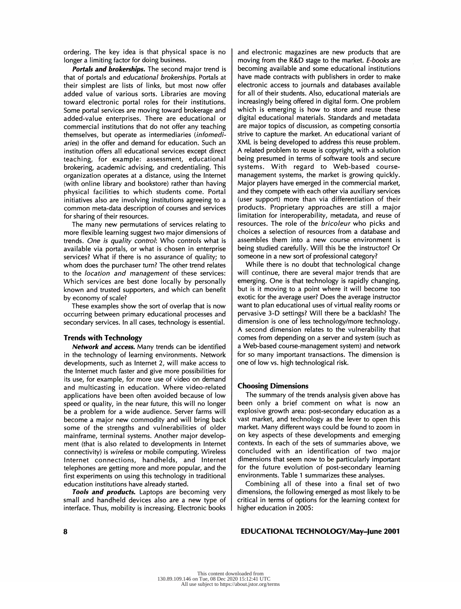ordering. The key idea is that physical space is no longer a limiting factor for doing business.

Portals and brokerships. The second major trend is that of portals and *educational brokerships*. Portals at their simplest are lists of links, but most now offer added value of various sorts. Libraries are moving toward electronic portal roles for their institutions. Some portal services are moving toward brokerage and added-value enterprises. There are educational or commercial institutions that do not offer any teaching themselves, but operate as intermediaries (infomedi aries) in the offer and demand for education. Such an institution offers all educational services except direct teaching, for example: assessment, educational brokering, academic advising, and credentialing. This organization operates at a distance, using the Internet (with online library and bookstore) rather than having physical facilities to which students come. Portal initiatives also are involving institutions agreeing to a common meta-data description of courses and services for sharing of their resources.

 The many new permutations of services relating to more flexible learning suggest two major dimensions of trends. One is quality control: Who controls what is available via portals, or what is chosen in enterprise services? What if there is no assurance of quality; to whom does the purchaser turn? The other trend relates to the location and management of these services: Which services are best done locally by personally known and trusted supporters, and which can benefit by economy of scale?

 These examples show the sort of overlap that is now occurring between primary educational processes and secondary services. In all cases, technology is essential.

#### Trends with Technology

Network and access. Many trends can be identified in the technology of learning environments. Network developments, such as Internet 2, will make access to the Internet much faster and give more possibilities for its use, for example, for more use of video on demand and multicasting in education. Where video-related applications have been often avoided because of low speed or quality, in the near future, this will no longer be a problem for a wide audience. Server farms will become a major new commodity and will bring back some of the strengths and vulnerabilities of older mainframe, terminal systems. Another major develop ment (that is also related to developments in Internet connectivity) is wireless or mobile computing. Wireless Internet connections, handhelds, and Internet telephones are getting more and more popular, and the first experiments on using this technology in traditional education institutions have already started.

Tools and products. Laptops are becoming very small and handheld devices also are a new type of interface. Thus, mobility is increasing. Electronic books  and electronic magazines are new products that are moving from the R&D stage to the market. E-books are becoming available and some educational institutions have made contracts with publishers in order to make electronic access to journals and databases available for all of their students. Also, educational materials are increasingly being offered in digital form. One problem which is emerging is how to store and reuse these digital educational materials. Standards and metadata are major topics of discussion, as competing consortia strive to capture the market. An educational variant of XML is being developed to address this reuse problem. A related problem to reuse is copyright, with a solution being presumed in terms of software tools and secure systems. With regard to Web-based course management systems, the market is growing quickly. Major players have emerged in the commercial market, and they compete with each other via auxiliary services (user support) more than via differentiation of their products. Proprietary approaches are still a major limitation for interoperability, metadata, and reuse of resources. The role of the bricoleur who picks and choices a selection of resources from a database and assembles them into a new course environment is being studied carefully. Will this be the instructor? Or someone in a new sort of professional category?

 While there is no doubt that technological change will continue, there are several major trends that are emerging. One is that technology is rapidly changing, but is it moving to a point where it will become too exotic for the average user? Does the average instructor want to plan educational uses of virtual reality rooms or pervasive 3-D settings? Will there be a backlash? The dimension is one of less technology/more technology. A second dimension relates to the vulnerability that comes from depending on a server and system (such as a Web-based course-management system) and network for so many important transactions. The dimension is one of low vs. high technological risk.

#### Choosing Dimensions

 The summary of the trends analysis given above has been only a brief comment on what is now an explosive growth area: post-secondary education as a vast market, and technology as the lever to open this market. Many different ways could be found to zoom in on key aspects of these developments and emerging contexts. In each of the sets of summaries above, we concluded with an identification of two major dimensions that seem now to be particularly important for the future evolution of post-secondary learning environments. Table 1 summarizes these analyses.

 Combining all of these into a final set of two dimensions, the following emerged as most likely to be critical in terms of options for the learning context for higher education in 2005: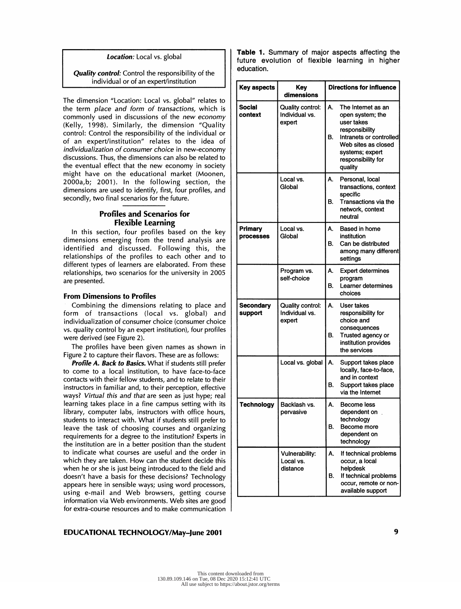#### Location: Local vs. global

## **Quality control:** Control the responsibility of the individual or of an expert/institution

 The dimension "Location: Local vs. global" relates to the term place and form of transactions, which is commonly used in discussions of the new economy (Kelly, 1998). Similarly, the dimension "Quality control: Control the responsibility of the individual or of an expert/institution" relates to the idea of individualization of consumer choice in new-economy discussions. Thus, the dimensions can also be related to the eventual effect that the new economy in society might have on the educational market (Moonen, 2000a, b; 2001). In the following section, the dimensions are used to identify, first, four profiles, and secondly, two final scenarios for the future.

# Profiles and Scenarios for Flexible Learning

 In this section, four profiles based on the key dimensions emerging from the trend analysis are identified and discussed. Following this, the relationships of the profiles to each other and to different types of learners are elaborated. From these relationships, two scenarios for the university in 2005 are presented.

#### From Dimensions to Profiles

 Combining the dimensions relating to place and form of transactions (local vs. global) and individualization of consumer choice (consumer choice vs. quality control by an expert institution), four profiles were derived (see Figure 2).

 The profiles have been given names as shown in Figure 2 to capture their flavors. These are as follows:

**Profile A. Back to Basics.** What if students still prefer to come to a local institution, to have face-to-face contacts with their fellow students, and to relate to their instructors in familiar and, to their perception, effective ways? Virtual this and that are seen as just hype; real learning takes place in a fine campus setting with its library, computer labs, instructors with office hours, students to interact with. What if students still prefer to leave the task of choosing courses and organizing requirements for a degree to the institution? Experts in the institution are in a better position than the student to indicate what courses are useful and the order in which they are taken. How can the student decide this when he or she is just being introduced to the field and doesn't have a basis for these decisions? Technology appears here in sensible ways; using word processors, using e-mail and Web browsers, getting course information via Web environments. Web sites are good for extra-course resources and to make communication

## EDUCATIONAL TECHNOLOGY/May-June 2001 **9**

Table 1. Summary of major aspects affecting the future evolution of flexible learning in higher education.

| <b>Key aspects</b>                 | <b>Key</b><br>dimensions                            | <b>Directions for influence</b>                                                                                                                                                          |  |
|------------------------------------|-----------------------------------------------------|------------------------------------------------------------------------------------------------------------------------------------------------------------------------------------------|--|
| <b>Social</b><br>context           | Quality control:<br>Individual vs.<br>expert        | А.<br>The Internet as an<br>open system; the<br>user takes<br>responsibility<br>Intranets or controlled<br>В.<br>Web sites as closed<br>systems; expert<br>responsibility for<br>quality |  |
|                                    | Local vs.<br>Global                                 | А.<br>Personal, local<br>transactions, context<br>specific<br>В.<br>Transactions via the<br>network, context<br>neutral                                                                  |  |
| <b>Primary</b><br><b>processes</b> | Local vs.<br>Global                                 | А.<br>Based in home<br>institution<br>Can be distributed<br>В.<br>among many different<br>settings                                                                                       |  |
|                                    | Program vs.<br>self-choice                          | А.<br><b>Expert determines</b><br>program<br>Learner determines<br>В.<br>choices                                                                                                         |  |
| <b>Secondary</b><br>support        | <b>Quality control:</b><br>Individual vs.<br>expert | А.<br>User takes<br>responsibility for<br>choice and<br>consequences<br>В.<br>Trusted agency or<br>institution provides<br>the services                                                  |  |
|                                    | Local vs. global                                    | А.<br>Support takes place<br>locally, face-to-face,<br>and in context<br>В.<br>Support takes place<br>via the Internet                                                                   |  |
| <b>Technology</b>                  | Backlash vs.<br>pervasive                           | А.<br>Become less<br>dependent on<br>technology<br>В.<br>Become more<br>dependent on<br>technology                                                                                       |  |
|                                    | Vulnerability:<br>Local vs.<br>distance             | А.<br>If technical problems<br>occur, a local<br>helpdesk<br>If technical problems<br>В.<br>occur, remote or non-<br>available support                                                   |  |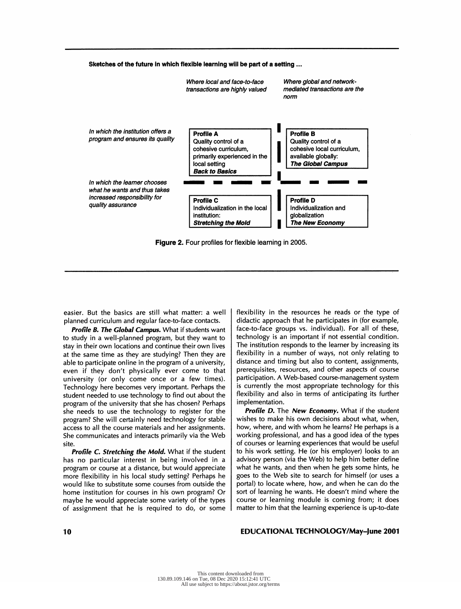

Figure 2. Four profiles for flexible learning in 2005.

 easier. But the basics are still what matter: a well planned curriculum and regular face-to-face contacts.

Profile B. The Global Campus. What if students want to study in a well-planned program, but they want to stay in their own locations and continue their own lives at the same time as they are studying? Then they are able to participate online in the program of a university, even if they don't physically ever come to that university (or only come once or a few times). Technology here becomes very important. Perhaps the student needed to use technology to find out about the program of the university that she has chosen? Perhaps she needs to use the technology to register for the program? She will certainly need technology for stable access to all the course materials and her assignments. She communicates and interacts primarily via the Web site.

Profile C. Stretching the Mold. What if the student has no particular interest in being involved in a program or course at a distance, but would appreciate more flexibility in his local study setting? Perhaps he would like to substitute some courses from outside the home institution for courses in his own program? Or maybe he would appreciate some variety of the types of assignment that he is required to do, or some  flexibility in the resources he reads or the type of didactic approach that he participates in (for example, face-to-face groups vs. individual). For all of these, technology is an important if not essential condition. The institution responds to the learner by increasing its flexibility in a number of ways, not only relating to distance and timing but also to content, assignments, prerequisites, resources, and other aspects of course participation. A Web-based course-management system is currently the most appropriate technology for this flexibility and also in terms of anticipating its further implementation.

Profile D. The New Economy. What if the student wishes to make his own decisions about what, when, how, where, and with whom he learns? He perhaps is a working professional, and has a good idea of the types of courses or learning experiences that would be useful to his work setting. He (or his employer) looks to an advisory person (via the Web) to help him better define what he wants, and then when he gets some hints, he goes to the Web site to search for himself (or uses a portal) to locate where, how, and when he can do the sort of learning he wants. He doesn't mind where the course or learning module is coming from; it does matter to him that the learning experience is up-to-date

#### 10 **EDUCATIONAL TECHNOLOGY/May-June 2001 EDUCATIONAL TECHNOLOGY/May-June 2001**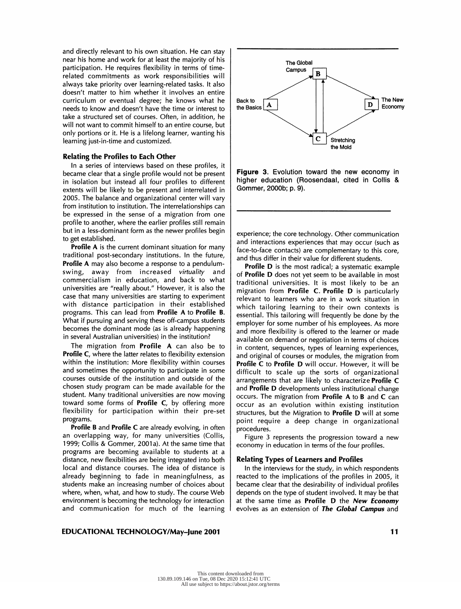and directly relevant to his own situation. He can stay near his home and work for at least the majority of his participation. He requires flexibility in terms of time related commitments as work responsibilities will always take priority over learning-related tasks. It also doesn't matter to him whether it involves an entire curriculum or eventual degree; he knows what he  $\vert$  Back to needs to know and doesn't have the time or interest to the Basics needs to know and doesn't have the time or interest to take a structured set of courses. Often, in addition, he will not want to commit himself to an entire course, but only portions or it. He is a lifelong learner, wanting his learning just-in-time and customized.

#### Relating the Profiles to Each Other

In a series of interviews based on these profiles, it  $\vert$ <br>came clear that a single profile would not be present **Figure 3.** Evolution toward the new economy in became clear that a single profile would not be present in isolation but instead all four profiles to different extents will be likely to be present and interrelated in 2005. The balance and organizational center will vary from institution to institution. The interrelationships can be expressed in the sense of a migration from one profile to another, where the earlier profiles still remain but in a less-dominant form as the newer profiles begin to get established.

Profile A is the current dominant situation for many traditional post-secondary institutions. In the future, **Profile A** may also become a response to a pendulum-<br>swing, away from increased *virtuality* and away from increased virtuality and commercialism in education, and back to what universities are "really about." However, it is also the case that many universities are starting to experiment with distance participation in their established programs. This can lead from Profile A to Profile B. What if pursuing and serving these off-campus students becomes the dominant mode (as is already happening in several Australian universities) in the institution?

The migration from Profile A can also be to Profile C, where the latter relates to flexibility extension within the institution: More flexibility within courses and sometimes the opportunity to participate in some courses outside of the institution and outside of the chosen study program can be made available for the student. Many traditional universities are now moving toward some forms of Profile C, by offering more flexibility for participation within their pre-set programs.

**Profile B** and **Profile C** are already evolving, in often an overlapping way, for many universities (Collis, 1999; Collis & Gommer, 2001a). At the same time that programs are becoming available to students at a distance, new flexibilities are being integrated into both local and distance courses. The idea of distance is already beginning to fade in meaningfulness, as students make an increasing number of choices about where, when, what, and how to study. The course Web environment is becoming the technology for interaction and communication for much of the learning



**Figure 3.** Evolution toward the new economy in<br>higher education (Roosendaal, cited in Collis & higher education (Roosendaal, cited in Collis & Gommer, 2000b; p. 9).

 experience; the core technology. Other communication and interactions experiences that may occur (such as face-to-face contacts) are complementary to this core, and thus differ in their value for different students.

**Profile D** is the most radical; a systematic example of Profile D does not yet seem to be available in most traditional universities. It is most likely to be an migration from Profile C. Profile D is particularly relevant to learners who are in a work situation in which tailoring learning to their own contexts is essential. This tailoring will frequently be done by the employer for some number of his employees. As more and more flexibility is offered to the learner or made available on demand or negotiation in terms of choices in content, sequences, types of learning experiences, and original of courses or modules, the migration from Profile C to Profile D will occur. However, it will be difficult to scale up the sorts of organizational arrangements that are likely to characterize Profile C and Profile D developments unless institutional change occurs. The migration from Profile A to B and C can occur as an evolution within existing institution structures, but the Migration to Profile D will at some point require a deep change in organizational procedures.

 Figure 3 represents the progression toward a new economy in education in terms of the four profiles.

#### Relating Types of Learners and Profiles

 In the interviews for the study, in which respondents reacted to the implications of the profiles in 2005, it became clear that the desirability of individual profiles depends on the type of student involved. It may be that at the same time as Profile D the New Economy evolves as an extension of The Global Campus and

#### EDUCATIONAL TECHNOLOGY/May-June 2001 1 1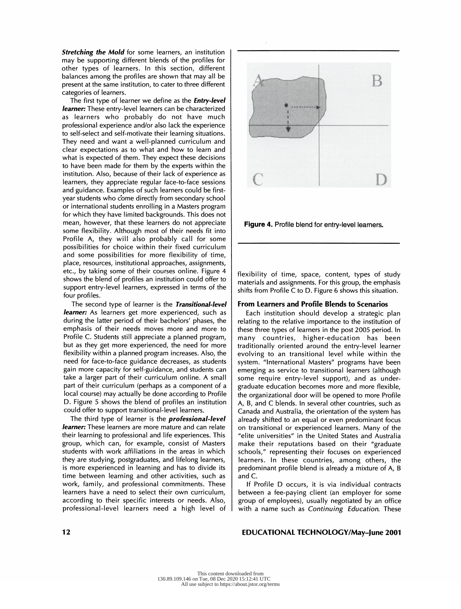Stretching the Mold for some learners, an institution may be supporting different blends of the profiles for other types of learners. In this section, different balances among the profiles are shown that may all be present at the same institution, to cater to three different categories of learners.

The first type of learner we define as the **Entry-level** learner: These entry-level learners can be characterized as learners who probably do not have much professional experience and/or also lack the experience to self-select and self-motivate their learning situations. They need and want a well-planned curriculum and clear expectations as to what and how to learn and what is expected of them. They expect these decisions to have been made for them by the experts within the institution. Also, because of their lack of experience as learners, they appreciate regular face-to-face sessions and guidance. Examples of such learners could be first year students who come directly from secondary school or international students enrolling in a Masters program for which they have limited backgrounds. This does not mean, however, that these learners do not appreciate some flexibility. Although most of their needs fit into Profile A, they will also probably call for some possibilities for choice within their fixed curriculum and some possibilities for more flexibility of time, place, resources, institutional approaches, assignments, etc., by taking some of their courses online. Figure 4 shows the blend of profiles an institution could offer to support entry-level learners, expressed in terms of the four profiles.

The second type of learner is the Transitional-level learner: As learners get more experienced, such as during the latter period of their bachelors' phases, the emphasis of their needs moves more and more to Profile C. Students still appreciate a planned program, but as they get more experienced, the need for more flexibility within a planned program increases. Also, the need for face-to-face guidance decreases, as students gain more capacity for self-guidance, and students can take a larger part of their curriculum online. A small part of their curriculum (perhaps as a component of a local course) may actually be done according to Profile D. Figure 5 shows the blend of profiles an institution could offer to support transitional-level learners.

The third type of learner is the *professional-level* learner: These learners are more mature and can relate their learning to professional and life experiences. This group, which can, for example, consist of Masters students with work affiliations in the areas in which they are studying, postgraduates, and lifelong learners, is more experienced in learning and has to divide its time between learning and other activities, such as work, family, and professional commitments. These learners have a need to select their own curriculum, according to their specific interests or needs. Also, professional-level learners need a high level of



Figure 4. Profile blend for entry-level learners.

 flexibility of time, space, content, types of study materials and assignments. For this group, the emphasis shifts from Profile C to D. Figure 6 shows this situation.

#### From Learners and Profile Blends to Scenarios

 Each institution should develop a strategic plan relating to the relative importance to the institution of these three types of learners in the post 2005 period. In many countries, higher-education has been traditionally oriented around the entry-level learner evolving to an transitional level while within the system. "International Masters" programs have been emerging as service to transitional learners (although some require entry-level support), and as under graduate education becomes more and more flexible, the organizational door will be opened to more Profile A, B, and C blends. In several other countries, such as Canada and Australia, the orientation of the system has already shifted to an equal or even predominant focus on transitional or experienced learners. Many of the "elite universities" in the United States and Australia make their reputations based on their "graduate schools," representing their focuses on experienced learners. In these countries, among others, the predominant profile blend is already a mixture of A, B and C.

 If Profile D occurs, it is via individual contracts between a fee-paying client (an employer for some group of employees), usually negotiated by an office with a name such as Continuing Education. These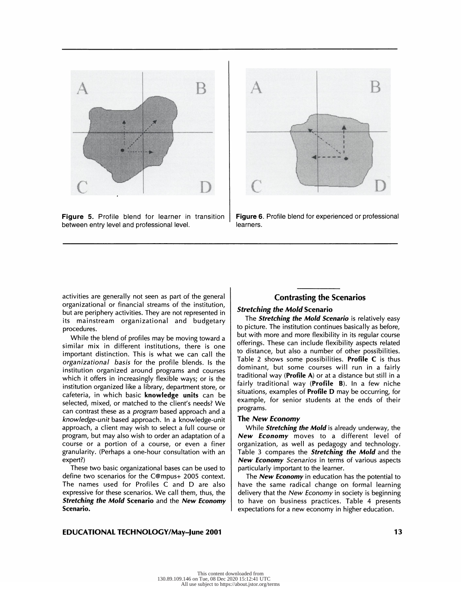

 Figure 5. Profile blend for learner in transition between entry level and professional level.



 Figure 6. Profile blend for experienced or professional learners.

 activities are generally not seen as part of the general organizational or financial streams of the institution, but are periphery activities. They are not represented in its mainstream organizational and budgetary procedures.

 While the blend of profiles may be moving toward a similar mix in different institutions, there is one important distinction. This is what we can call the organizational basis for the profile blends. Is the institution organized around programs and courses which it offers in increasingly flexible ways; or is the institution organized like a library, department store, or cafeteria, in which basic knowledge units can be selected, mixed, or matched to the client's needs? We can contrast these as a program based approach and a knowledge-unit based approach. In a knowledge-unit approach, a client may wish to select a full course or program, but may also wish to order an adaptation of a course or a portion of a course, or even a finer granularity. (Perhaps a one-hour consultation with an expert?)

 These two basic organizational bases can be used to define two scenarios for the C@mpus+ 2005 context. The names used for Profiles C and D are also expressive for these scenarios. We call them, thus, the Stretching the Mold Scenario and the New Economy Scenario.

# Contrasting the Scenarios

#### Stretching the Mold Scenario

The **Stretching the Mold Scenario** is relatively easy to picture. The institution continues basically as before, but with more and more flexibility in its regular course offerings. These can include flexibility aspects related to distance, but also a number of other possibilities. Table 2 shows some possibilities. Profile  $C$  is thus dominant, but some courses will run in a fairly traditional way (Profile A) or at a distance but still in a fairly traditional way (Profile B). In a few niche situations, examples of Profile D may be occurring, for example, for senior students at the ends of their programs.

#### The New Economy

While **Stretching the Mold** is already underway, the New Economy moves to a different level of organization, as well as pedagogy and technology. Table 3 compares the **Stretching the Mold** and the New Economy Scenarios in terms of various aspects particularly important to the learner.

The **New Economy** in education has the potential to have the same radical change on formal learning delivery that the New Economy in society is beginning to have on business practices. Table 4 presents expectations for a new economy in higher education.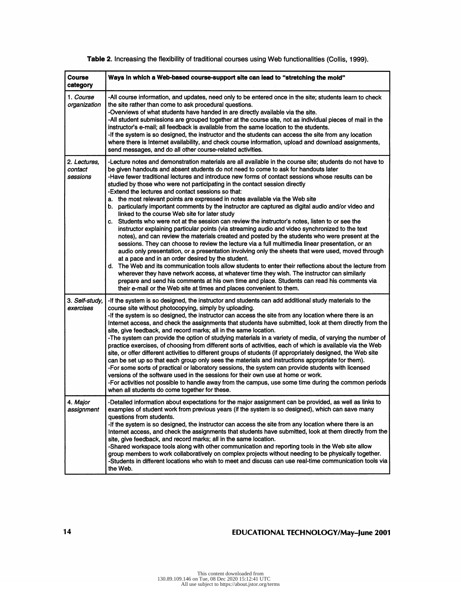| <b>Course</b><br>category           | Ways in which a Web-based course-support site can lead to "stretching the mold"                                                                                                                                                                                                                                                                                                                                                                                                                                                                                                                                                                                                                                                                                                                                                                                                                                                                                                                                                                                                                                                                                                                                                                                                                                                                                                                                                                                                                                                                                                                                                             |
|-------------------------------------|---------------------------------------------------------------------------------------------------------------------------------------------------------------------------------------------------------------------------------------------------------------------------------------------------------------------------------------------------------------------------------------------------------------------------------------------------------------------------------------------------------------------------------------------------------------------------------------------------------------------------------------------------------------------------------------------------------------------------------------------------------------------------------------------------------------------------------------------------------------------------------------------------------------------------------------------------------------------------------------------------------------------------------------------------------------------------------------------------------------------------------------------------------------------------------------------------------------------------------------------------------------------------------------------------------------------------------------------------------------------------------------------------------------------------------------------------------------------------------------------------------------------------------------------------------------------------------------------------------------------------------------------|
| 1. Course<br>organization           | -All course information, and updates, need only to be entered once in the site; students learn to check<br>the site rather than come to ask procedural questions.<br>-Overviews of what students have handed in are directly available via the site.<br>-All student submissions are grouped together at the course site, not as individual pieces of mail in the<br>instructor's e-mail; all feedback is available from the same location to the students.<br>-If the system is so designed, the instructor and the students can access the site from any location<br>where there is Internet availability, and check course information, upload and download assignments,<br>send messages, and do all other course-related activities.                                                                                                                                                                                                                                                                                                                                                                                                                                                                                                                                                                                                                                                                                                                                                                                                                                                                                                   |
| 2. Lectures,<br>contact<br>sessions | -Lecture notes and demonstration materials are all available in the course site; students do not have to<br>be given handouts and absent students do not need to come to ask for handouts later<br>-Have fewer traditional lectures and introduce new forms of contact sessions whose results can be<br>studied by those who were not participating in the contact session directly<br>-Extend the lectures and contact sessions so that:<br>a. the most relevant points are expressed in notes available via the Web site<br>b. particularly important comments by the instructor are captured as digital audio and/or video and<br>linked to the course Web site for later study<br>c. Students who were not at the session can review the instructor's notes, listen to or see the<br>instructor explaining particular points (via streaming audio and video synchronized to the text<br>notes), and can review the materials created and posted by the students who were present at the<br>sessions. They can choose to review the lecture via a full multimedia linear presentation, or an<br>audio only presentation, or a presentation involving only the sheets that were used, moved through<br>at a pace and in an order desired by the student.<br>d. The Web and its communication tools allow students to enter their reflections about the lecture from<br>wherever they have network access, at whatever time they wish. The instructor can similarly<br>prepare and send his comments at his own time and place. Students can read his comments via<br>their e-mail or the Web site at times and places convenient to them. |
| 3. Self-study,<br>exercises         | -If the system is so designed, the instructor and students can add additional study materials to the<br>course site without photocopying, simply by uploading.<br>-If the system is so designed, the instructor can access the site from any location where there is an<br>Internet access, and check the assignments that students have submitted, look at them directly from the<br>site, give feedback, and record marks; all in the same location.<br>-The system can provide the option of studying materials in a variety of media, of varying the number of<br>practice exercises, of choosing from different sorts of activities, each of which is available via the Web<br>site, or offer different activities to different groups of students (if appropriately designed, the Web site<br>can be set up so that each group only sees the materials and instructions appropriate for them).<br>-For some sorts of practical or laboratory sessions, the system can provide students with licensed<br>versions of the software used in the sessions for their own use at home or work.<br>-For activities not possible to handle away from the campus, use some time during the common periods<br>when all students do come together for these.                                                                                                                                                                                                                                                                                                                                                                                     |
| 4. Major<br>assignment              | -Detailed information about expectations for the major assignment can be provided, as well as links to<br>examples of student work from previous years (if the system is so designed), which can save many<br>questions from students.<br>-If the system is so designed, the instructor can access the site from any location where there is an<br>Internet access, and check the assignments that students have submitted, look at them directly from the<br>site, give feedback, and record marks; all in the same location.<br>-Shared workspace tools along with other communication and reporting tools in the Web site allow<br>group members to work collaboratively on complex projects without needing to be physically together.<br>-Students in different locations who wish to meet and discuss can use real-time communication tools via<br>the Web.                                                                                                                                                                                                                                                                                                                                                                                                                                                                                                                                                                                                                                                                                                                                                                           |

# Table 2. Increasing the flexibility of traditional courses using Web functionalities (Collis, 1999).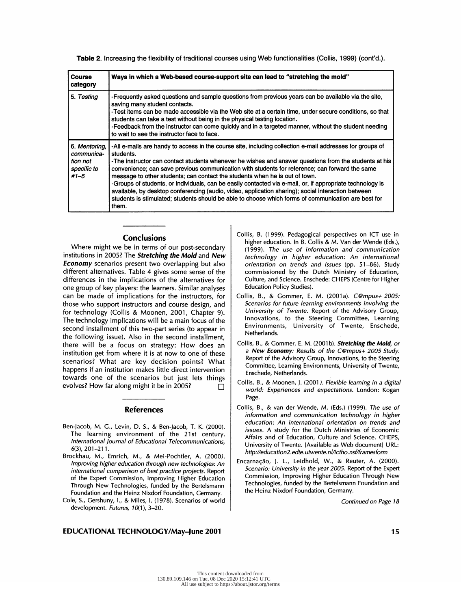Table 2. Increasing the flexibility of traditional courses using Web functionalities (Collis, 1999) (cont'd.).

| <b>Course</b><br>category                                          | Ways in which a Web-based course-support site can lead to "stretching the mold"                                                                                                                                                                                                                                                                                                                                                                                                                                                                                                                                                                                                                                                                    |
|--------------------------------------------------------------------|----------------------------------------------------------------------------------------------------------------------------------------------------------------------------------------------------------------------------------------------------------------------------------------------------------------------------------------------------------------------------------------------------------------------------------------------------------------------------------------------------------------------------------------------------------------------------------------------------------------------------------------------------------------------------------------------------------------------------------------------------|
| 5. Testing                                                         | -Frequently asked questions and sample questions from previous years can be available via the site,<br>saving many student contacts.<br>-Test items can be made accessible via the Web site at a certain time, under secure conditions, so that<br>students can take a test without being in the physical testing location.<br>-Feedback from the instructor can come quickly and in a targeted manner, without the student needing<br>to wait to see the instructor face to face.                                                                                                                                                                                                                                                                 |
| 6. Mentoring,<br>communica-<br>tion not<br>specific to<br>$#1 - 5$ | -All e-mails are handy to access in the course site, including collection e-mail addresses for groups of<br>students.<br>-The instructor can contact students whenever he wishes and answer questions from the students at his<br>convenience; can save previous communication with students for reference; can forward the same<br>message to other students; can contact the students when he is out of town.<br>-Groups of students, or individuals, can be easily contacted via e-mail, or, if appropriate technology is<br>available, by desktop conferencing (audio, video, application sharing); social interaction between<br>students is stimulated; students should be able to choose which forms of communication are best for<br>them. |

#### **Conclusions**

 Where might we be in terms of our post-secondary institutions in 2005? The Stretching the Mold and New **Economy** scenarios present two overlapping but also different alternatives. Table 4 gives some sense of the differences in the implications of the alternatives for one group of key players: the learners. Similar analyses can be made of implications for the instructors, for those who support instructors and course design, and for technology (Collis & Moonen, 2001, Chapter 9). The technology implications will be a main focus of the second installment of this two-part series (to appear in the following issue). Also in the second installment, there will be a focus on strategy: How does an institution get from where it is at now to one of these scenarios? What are key decision points? What happens if an institution makes little direct intervention towards one of the scenarios but just lets things evolves? How far along might it be in 2005?  $\Box$ 

#### References

- Ben-Jacob, M. G., Levin, D. S., & Ben-Jacob, T. K. (2000). The learning environment of the 21st century. International Journal of Educational Telecommunications,  $6(3)$ , 201-211.
- Brockhau, M., Emrich, M., & Mei-Pochtler, A. (2000). Improving higher education through new technologies: An international comparison of best practice projects. Report of the Expert Commission, Improving Higher Education Through New Technologies, funded by the Bertelsmann Foundation and the Heinz Nixdorf Foundation, Germany.
- Cole, S., Gershuny, I., & Miles, I. (1978). Scenarios of world development. Futures, 10(1), 3-20.

#### EDUCATIONAL TECHNOLOGY/May-June 2001 15 1 5 1 5 1 5 1 1 5 1 1 5 1 5 1 1 5 1 1 5 1 1 5 1 1 5 1 1 5 1 1 5 1 1 5 1 1 5 1 1 5 1 1 5 1 1 5 1 1 5 1 1 5 1 1 5 1 1 5 1 1 5 1 1 5 1 1 5 1 1 5 1 1 5 1 1 5 1 1 5 1 1 5 1 1 5 1 1 5 1 1

- Collis, B. (1999). Pedagogical perspectives on ICT use in higher education. In B. Collis & M. Van der Wende (Eds.), (1999). The use of information and communication technology in higher education: An international orientation on trends and issues (pp. 51-86). Study commissioned by the Dutch Ministry of Education, Culture, and Science. Enschede: CHEPS (Centre for Higher Education Policy Studies).
- Collis, B., & Gommer, E. M. (2001a). C@mpus+ 2005: Scenarios for future learning environments involving the University of Twente. Report of the Advisory Group, Innovations, to the Steering Committee, Learning Environments, University of Twente, Enschede, Netherlands.
- Collis, B., & Gommer, E. M. (2001b). Stretching the Mold, or a New Economy: Results of the C@mpus+ 2005 Study. Report of the Advisory Group, Innovations, to the Steering Committee, Learning Environments, University of Twente, Enschede, Netherlands.
- Collis, B., & Moonen, J. (2001 ). Flexible learning in a digital world: Experiences and expectations. London: Kogan Page.
- Collis, B., & van der Wende, M. (Eds.) (1999). The use of information and communication technology in higher education: An international orientation on trends and issues. A study for the Dutch Ministries of Economic Affairs and of Education, Culture and Science. CHEPS, University of Twente. [Available as Web document] URL: http://education2.edte. utwente.nl/ictho. nsf/framesform
- Encarnação, J. L., Leidhold, W., & Reuter, A. (2000). Scenario: University in the year 2005. Report of the Expert Commission, Improving Higher Education Through New Technologies, funded by the Bertelsmann Foundation and the Heinz Nixdorf Foundation, Germany.

Continued on Page 18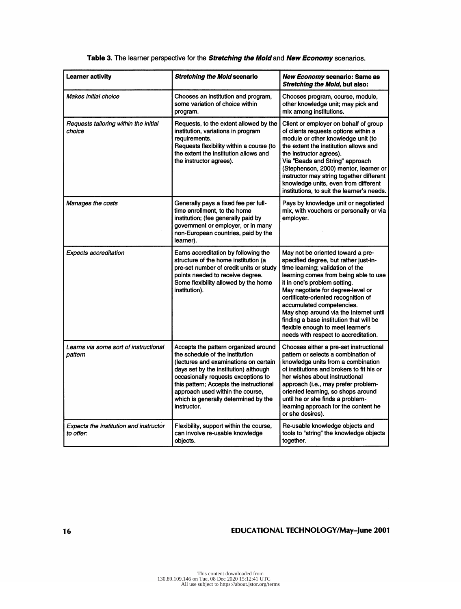| <b>Learner activity</b>                             | <b>Stretching the Mold scenario</b>                                                                                                                                                                                                                                                                                                    | <b>New Economy scenario: Same as</b><br><b>Stretching the Mold, but also:</b>                                                                                                                                                                                                                                                                                                                                                                                      |
|-----------------------------------------------------|----------------------------------------------------------------------------------------------------------------------------------------------------------------------------------------------------------------------------------------------------------------------------------------------------------------------------------------|--------------------------------------------------------------------------------------------------------------------------------------------------------------------------------------------------------------------------------------------------------------------------------------------------------------------------------------------------------------------------------------------------------------------------------------------------------------------|
| <b>Makes initial choice</b>                         | Chooses an institution and program,<br>some variation of choice within<br>program.                                                                                                                                                                                                                                                     | Chooses program, course, module,<br>other knowledge unit; may pick and<br>mix among institutions.                                                                                                                                                                                                                                                                                                                                                                  |
| Requests tailoring within the initial<br>choice     | Requests, to the extent allowed by the<br>institution, variations in program<br>requirements.<br>Requests flexibility within a course (to<br>the extent the institution allows and<br>the instructor agrees).                                                                                                                          | Client or employer on behalf of group<br>of clients requests options within a<br>module or other knowledge unit (to<br>the extent the institution allows and<br>the instructor agrees).<br>Via "Beads and String" approach<br>(Stephenson, 2000) mentor, learner or<br>instructor may string together different<br>knowledge units, even from different<br>institutions, to suit the learner's needs.                                                              |
| Manages the costs                                   | Generally pays a fixed fee per full-<br>time enrollment, to the home<br>institution; (fee generally paid by<br>government or employer, or in many<br>non-European countries, paid by the<br>learner).                                                                                                                                  | Pays by knowledge unit or negotiated<br>mix, with vouchers or personally or via<br>employer.                                                                                                                                                                                                                                                                                                                                                                       |
| <b>Expects accreditation</b>                        | Earns accreditation by following the<br>structure of the home institution (a<br>pre-set number of credit units or study<br>points needed to receive degree.<br>Some flexibility allowed by the home<br>institution).                                                                                                                   | May not be oriented toward a pre-<br>specified degree, but rather just-in-<br>time learning; validation of the<br>learning comes from being able to use<br>it in one's problem setting.<br>May negotiate for degree-level or<br>certificate-oriented recognition of<br>accumulated competencies.<br>May shop around via the Internet until<br>finding a base institution that will be<br>flexible enough to meet learner's<br>needs with respect to accreditation. |
| Learns via some sort of instructional<br>pattern    | Accepts the pattern organized around<br>the schedule of the institution<br>(lectures and examinations on certain<br>days set by the institution) although<br>occasionally requests exceptions to<br>this pattern; Accepts the instructional<br>approach used within the course,<br>which is generally determined by the<br>instructor. | Chooses either a pre-set instructional<br>pattern or selects a combination of<br>knowledge units from a combination<br>of institutions and brokers to fit his or<br>her wishes about instructional<br>approach (i.e., may prefer problem-<br>oriented learning, so shops around<br>until he or she finds a problem-<br>learning approach for the content he<br>or she desires).                                                                                    |
| Expects the institution and instructor<br>to offer: | Flexibility, support within the course,<br>can involve re-usable knowledge<br>objects.                                                                                                                                                                                                                                                 | Re-usable knowledge objects and<br>tools to "string" the knowledge objects<br>together.                                                                                                                                                                                                                                                                                                                                                                            |

# Table 3. The learner perspective for the Stretching the Mold and New Economy scenarios.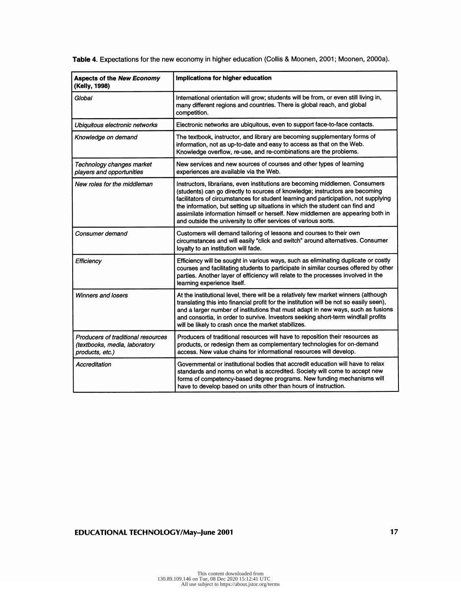| <b>Aspects of the New Economy</b><br>(Kelly, 1998)                                                                                                                                                                                                                                                                          | Implications for higher education                                                                                                                                                                                                                                                                                                                                                                                                                                                       |  |
|-----------------------------------------------------------------------------------------------------------------------------------------------------------------------------------------------------------------------------------------------------------------------------------------------------------------------------|-----------------------------------------------------------------------------------------------------------------------------------------------------------------------------------------------------------------------------------------------------------------------------------------------------------------------------------------------------------------------------------------------------------------------------------------------------------------------------------------|--|
| Global                                                                                                                                                                                                                                                                                                                      | International orientation will grow; students will be from, or even still living in,<br>many different regions and countries. There is global reach, and global<br>competition.                                                                                                                                                                                                                                                                                                         |  |
| Ubiquitous electronic networks                                                                                                                                                                                                                                                                                              | Electronic networks are ubiquitous, even to support face-to-face contacts.                                                                                                                                                                                                                                                                                                                                                                                                              |  |
| Knowledge on demand                                                                                                                                                                                                                                                                                                         | The textbook, instructor, and library are becoming supplementary forms of<br>information, not as up-to-date and easy to access as that on the Web.<br>Knowledge overflow, re-use, and re-combinations are the problems.                                                                                                                                                                                                                                                                 |  |
| Technology changes market<br>players and opportunities                                                                                                                                                                                                                                                                      | New services and new sources of courses and other types of learning<br>experiences are available via the Web.                                                                                                                                                                                                                                                                                                                                                                           |  |
| New roles for the middleman                                                                                                                                                                                                                                                                                                 | Instructors, librarians, even institutions are becoming middlemen. Consumers<br>(students) can go directly to sources of knowledge; instructors are becoming<br>facilitators of circumstances for student learning and participation, not supplying<br>the information, but setting up situations in which the student can find and<br>assimilate information himself or herself. New middlemen are appearing both in<br>and outside the university to offer services of various sorts. |  |
| Consumer demand                                                                                                                                                                                                                                                                                                             | Customers will demand tailoring of lessons and courses to their own<br>circumstances and will easily "click and switch" around alternatives. Consumer<br>loyalty to an institution will fade.                                                                                                                                                                                                                                                                                           |  |
| Efficiency                                                                                                                                                                                                                                                                                                                  | Efficiency will be sought in various ways, such as eliminating duplicate or costly<br>courses and facilitating students to participate in similar courses offered by other<br>parties. Another layer of efficiency will relate to the processes involved in the<br>learning experience itself.                                                                                                                                                                                          |  |
| Winners and losers                                                                                                                                                                                                                                                                                                          | At the institutional level, there will be a relatively few market winners (although<br>translating this into financial profit for the institution will be not so easily seen),<br>and a larger number of institutions that must adapt in new ways, such as fusions<br>and consortia, in order to survive. Investors seeking short-term windfall profits<br>will be likely to crash once the market stabilizes.                                                                          |  |
| Producers of traditional resources<br>(textbooks, media, laboratory<br>products, etc.)                                                                                                                                                                                                                                      | Producers of traditional resources will have to reposition their resources as<br>products, or redesign them as complementary technologies for on-demand<br>access. New value chains for informational resources will develop.                                                                                                                                                                                                                                                           |  |
| Governmental or institutional bodies that accredit education will have to relax<br>Accreditation<br>standards and norms on what is accredited. Society will come to accept new<br>forms of competency-based degree programs. New funding mechanisms will<br>have to develop based on units other than hours of instruction. |                                                                                                                                                                                                                                                                                                                                                                                                                                                                                         |  |